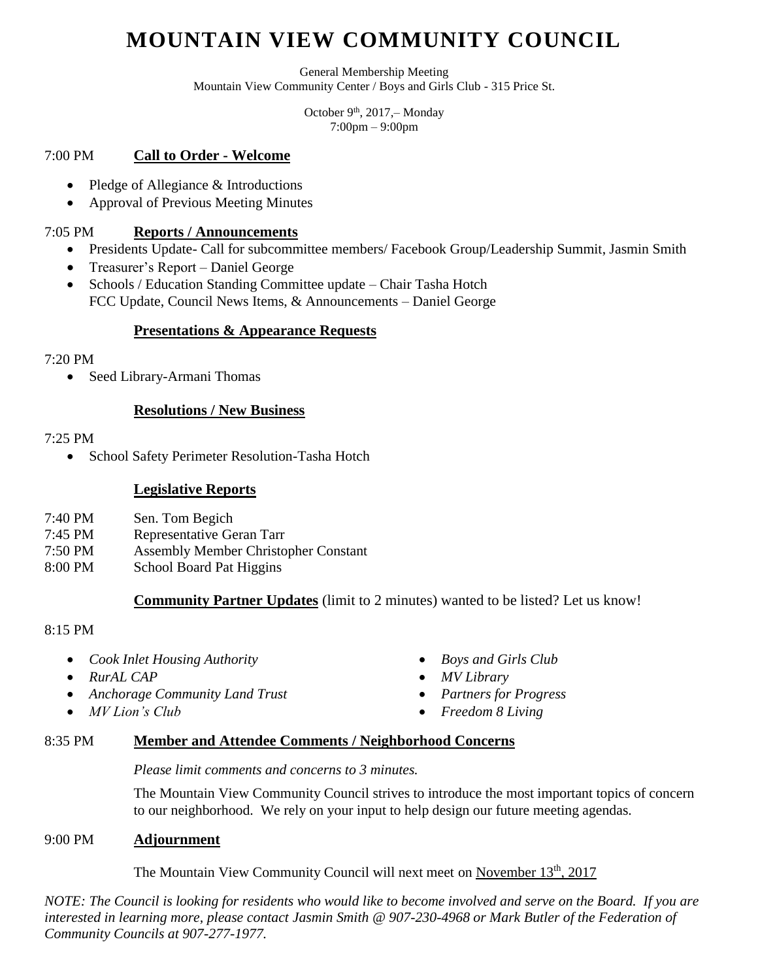# **MOUNTAIN VIEW COMMUNITY COUNCIL**

General Membership Meeting Mountain View Community Center / Boys and Girls Club - 315 Price St.

> October 9<sup>th</sup>, 2017, – Monday 7:00pm – 9:00pm

# 7:00 PM **Call to Order - Welcome**

- Pledge of Allegiance & Introductions
- Approval of Previous Meeting Minutes

# 7:05 PM **Reports / Announcements**

- Presidents Update- Call for subcommittee members/ Facebook Group/Leadership Summit, Jasmin Smith
- Treasurer's Report Daniel George
- Schools / Education Standing Committee update Chair Tasha Hotch FCC Update, Council News Items, & Announcements – Daniel George

# **Presentations & Appearance Requests**

#### 7:20 PM

• Seed Library-Armani Thomas

#### **Resolutions / New Business**

#### 7:25 PM

• School Safety Perimeter Resolution-Tasha Hotch

#### **Legislative Reports**

- 7:40 PM Sen. Tom Begich
- 7:45 PM Representative Geran Tarr
- 7:50 PM Assembly Member Christopher Constant
- 8:00 PM School Board Pat Higgins

# **Community Partner Updates** (limit to 2 minutes) wanted to be listed? Let us know!

#### 8:15 PM

- *Cook Inlet Housing Authority*
- *RurAL CAP*
- *Anchorage Community Land Trust*
- *MV Lion's Club*
- *Boys and Girls Club*
- *MV Library*
- *Partners for Progress*
- *Freedom 8 Living*

# 8:35 PM **Member and Attendee Comments / Neighborhood Concerns**

#### *Please limit comments and concerns to 3 minutes.*

The Mountain View Community Council strives to introduce the most important topics of concern to our neighborhood. We rely on your input to help design our future meeting agendas.

#### 9:00 PM **Adjournment**

The Mountain View Community Council will next meet on November 13<sup>th</sup>, 2017

*NOTE: The Council is looking for residents who would like to become involved and serve on the Board. If you are interested in learning more, please contact Jasmin Smith @ 907-230-4968 or Mark Butler of the Federation of Community Councils at 907-277-1977.*